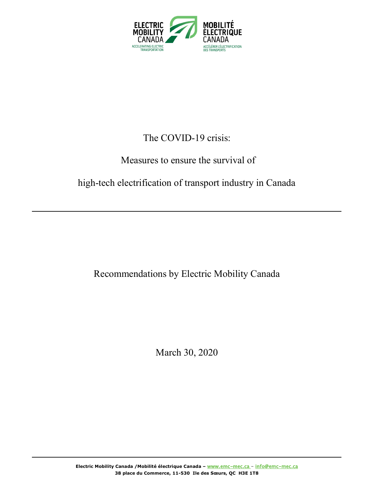

# The COVID-19 crisis:

## Measures to ensure the survival of

## high-tech electrification of transport industry in Canada

## Recommendations by Electric Mobility Canada

March 30, 2020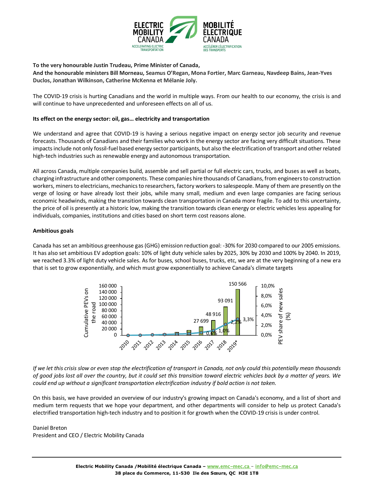

**To the very honourable Justin Trudeau, Prime Minister of Canada,**

**And the honourable ministers Bill Morneau, Seamus O'Regan, Mona Fortier, Marc Garneau, Navdeep Bains, Jean-Yves Duclos, Jonathan Wilkinson, Catherine McKenna et Mélanie Joly.** 

The COVID-19 crisis is hurting Canadians and the world in multiple ways. From our health to our economy, the crisis is and will continue to have unprecedented and unforeseen effects on all of us.

#### **Its effect on the energy sector: oil, gas… electricity and transportation**

We understand and agree that COVID-19 is having a serious negative impact on energy sector job security and revenue forecasts. Thousands of Canadians and their families who work in the energy sector are facing very difficult situations. These impacts include not only fossil-fuel based energy sector participants, but also the electrification of transport and other related high-tech industries such as renewable energy and autonomous transportation.

All across Canada, multiple companies build, assemble and sell partial or full electric cars, trucks, and buses as well as boats, charging infrastructure and other components. These companies hire thousands of Canadians, from engineers to construction workers, miners to electricians, mechanics to researchers, factory workers to salespeople. Many of them are presently on the verge of losing or have already lost their jobs, while many small, medium and even large companies are facing serious economic headwinds, making the transition towards clean transportation in Canada more fragile. To add to this uncertainty, the price of oil is presently at a historic low, making the transition towards clean energy or electric vehicles less appealing for individuals, companies, institutions and cities based on short term cost reasons alone.

#### **Ambitious goals**

Canada has set an ambitious greenhouse gas (GHG) emission reduction goal: -30% for 2030 compared to our 2005 emissions. It has also set ambitious EV adoption goals: 10% of light duty vehicle sales by 2025, 30% by 2030 and 100% by 2040. In 2019, we reached 3.3% of light duty vehicle sales. As for buses, school buses, trucks, etc, we are at the very beginning of a new era that is set to grow exponentially, and which must grow exponentially to achieve Canada's climate targets



*If we let this crisis slow or even stop the electrification of transport in Canada, not only could this potentially mean thousands of good jobs lost all over the country, but it could set this transition toward electric vehicles back by a matter of years. We could end up without a significant transportation electrification industry if bold action is not taken.* 

On this basis, we have provided an overview of our industry's growing impact on Canada's economy, and a list of short and medium term requests that we hope your department, and other departments will consider to help us protect Canada's electrified transportation high-tech industry and to position it for growth when the COVID-19 crisis is under control.

### Daniel Breton

President and CEO / Electric Mobility Canada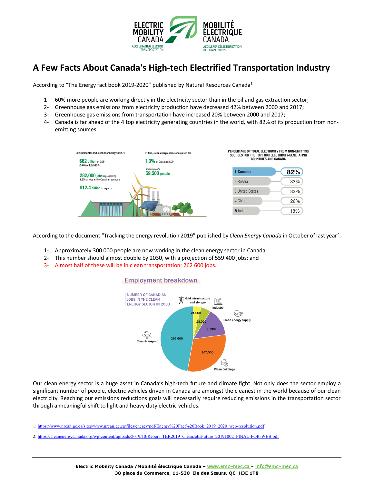

## **A Few Facts About Canada's High-tech Electrified Transportation Industry**

According to "The Energy fact book 2019-2020" published by Natural Resources Canada<sup>1</sup>

- 1- 60% more people are working directly in the electricity sector than in the oil and gas extraction sector;
- 2- Greenhouse gas emissions from electricity production have decreased 42% between 2000 and 2017;
- 3- Greenhouse gas emissions from transportation have increased 20% between 2000 and 2017;
- 4- Canada is far ahead of the 4 top electricity generating countries in the world, with 82% of its production from nonemitting sources.



According to the document "Tracking the energy revolution 2019" published by Clean Energy Canada in October of last year<sup>2</sup>:

- 1- Approximately 300 000 people are now working in the clean energy sector in Canada;
- 2- This number should almost double by 2030, with a projection of 559 400 jobs; and
- 3- Almost half of these will be in clean transportation: 262 600 jobs.

### **Employment breakdown**



Our clean energy sector is a huge asset in Canada's high-tech future and climate fight. Not only does the sector employ a significant number of people, electric vehicles driven in Canada are amongst the cleanest in the world because of our clean electricity. Reaching our emissions reductions goals will necessarily require reducing emissions in the transportation sector through a meaningful shift to light and heavy duty electric vehicles.

1: https://www.nrcan.gc.ca/sites/www.nrcan.gc.ca/files/energy/pdf/Energy%20Fact%20Book\_2019\_2020\_web-resolution.pdf

2: https://cleanenergycanada.org/wp-content/uploads/2019/10/Report\_TER2019\_CleanJobsFuture\_20191002\_FINAL-FOR-WEB.pdf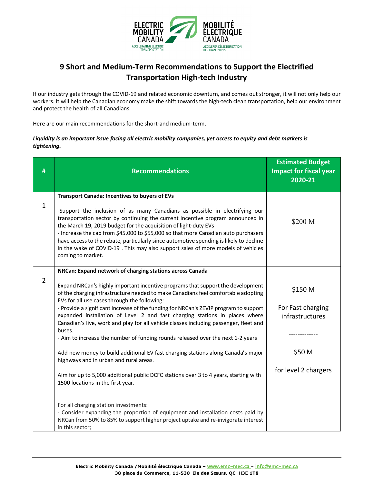

### **9 Short and Medium-Term Recommendations to Support the Electrified Transportation High-tech Industry**

If our industry gets through the COVID-19 and related economic downturn, and comes out stronger, it will not only help our workers. It will help the Canadian economy make the shift towards the high-tech clean transportation, help our environment and protect the health of all Canadians.

Here are our main recommendations for the short-and medium-term.

### *Liquidity is an important issue facing all electric mobility companies, yet access to equity and debt markets is tightening.*

| #              | <b>Recommendations</b>                                                                                                                                                                                                                                                                                                                                                                                                                                                                                                                                                                                                                                                                                                                                                                                                                                                                                                                                                                                                                                                                                                    | <b>Estimated Budget</b><br><b>Impact for fiscal year</b><br>2020-21               |
|----------------|---------------------------------------------------------------------------------------------------------------------------------------------------------------------------------------------------------------------------------------------------------------------------------------------------------------------------------------------------------------------------------------------------------------------------------------------------------------------------------------------------------------------------------------------------------------------------------------------------------------------------------------------------------------------------------------------------------------------------------------------------------------------------------------------------------------------------------------------------------------------------------------------------------------------------------------------------------------------------------------------------------------------------------------------------------------------------------------------------------------------------|-----------------------------------------------------------------------------------|
| $\mathbf{1}$   | <b>Transport Canada: Incentives to buyers of EVs</b><br>-Support the inclusion of as many Canadians as possible in electrifying our<br>transportation sector by continuing the current incentive program announced in<br>the March 19, 2019 budget for the acquisition of light-duty EVs<br>- Increase the cap from \$45,000 to \$55,000 so that more Canadian auto purchasers<br>have access to the rebate, particularly since automotive spending is likely to decline<br>in the wake of COVID-19. This may also support sales of more models of vehicles<br>coming to market.                                                                                                                                                                                                                                                                                                                                                                                                                                                                                                                                          | \$200 M                                                                           |
| $\overline{2}$ | NRCan: Expand network of charging stations across Canada<br>Expand NRCan's highly important incentive programs that support the development<br>of the charging infrastructure needed to make Canadians feel comfortable adopting<br>EVs for all use cases through the following:<br>- Provide a significant increase of the funding for NRCan's ZEVIP program to support<br>expanded installation of Level 2 and fast charging stations in places where<br>Canadian's live, work and play for all vehicle classes including passenger, fleet and<br>buses.<br>- Aim to increase the number of funding rounds released over the next 1-2 years<br>Add new money to build additional EV fast charging stations along Canada's major<br>highways and in urban and rural areas.<br>Aim for up to 5,000 additional public DCFC stations over 3 to 4 years, starting with<br>1500 locations in the first year.<br>For all charging station investments:<br>- Consider expanding the proportion of equipment and installation costs paid by<br>NRCan from 50% to 85% to support higher project uptake and re-invigorate interest | \$150 M<br>For Fast charging<br>infrastructures<br>\$50 M<br>for level 2 chargers |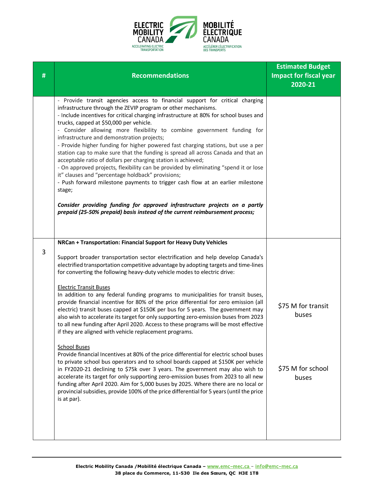

| # | <b>Recommendations</b>                                                                                                                                                                                                                                                                                                                                                                                                                                                                                                                                                                                                                                                                                                                                                                                                                                                                                                                                                                                                                                                                                                                                                                                                                                                                                                                                                                                                                             | <b>Estimated Budget</b><br><b>Impact for fiscal year</b><br>2020-21 |
|---|----------------------------------------------------------------------------------------------------------------------------------------------------------------------------------------------------------------------------------------------------------------------------------------------------------------------------------------------------------------------------------------------------------------------------------------------------------------------------------------------------------------------------------------------------------------------------------------------------------------------------------------------------------------------------------------------------------------------------------------------------------------------------------------------------------------------------------------------------------------------------------------------------------------------------------------------------------------------------------------------------------------------------------------------------------------------------------------------------------------------------------------------------------------------------------------------------------------------------------------------------------------------------------------------------------------------------------------------------------------------------------------------------------------------------------------------------|---------------------------------------------------------------------|
|   | - Provide transit agencies access to financial support for critical charging<br>infrastructure through the ZEVIP program or other mechanisms.<br>- Include incentives for critical charging infrastructure at 80% for school buses and<br>trucks, capped at \$50,000 per vehicle.<br>- Consider allowing more flexibility to combine government funding for<br>infrastructure and demonstration projects;<br>- Provide higher funding for higher powered fast charging stations, but use a per<br>station cap to make sure that the funding is spread all across Canada and that an<br>acceptable ratio of dollars per charging station is achieved;<br>- On approved projects, flexibility can be provided by eliminating "spend it or lose<br>it" clauses and "percentage holdback" provisions;<br>- Push forward milestone payments to trigger cash flow at an earlier milestone<br>stage;<br>Consider providing funding for approved infrastructure projects on a partly<br>prepaid (25-50% prepaid) basis instead of the current reimbursement process;                                                                                                                                                                                                                                                                                                                                                                                       |                                                                     |
| 3 | NRCan + Transportation: Financial Support for Heavy Duty Vehicles<br>Support broader transportation sector electrification and help develop Canada's<br>electrified transportation competitive advantage by adopting targets and time-lines<br>for converting the following heavy-duty vehicle modes to electric drive:<br><b>Electric Transit Buses</b><br>In addition to any federal funding programs to municipalities for transit buses,<br>provide financial incentive for 80% of the price differential for zero emission (all<br>electric) transit buses capped at \$150K per bus for 5 years. The government may<br>also wish to accelerate its target for only supporting zero-emission buses from 2023<br>to all new funding after April 2020. Access to these programs will be most effective<br>if they are aligned with vehicle replacement programs.<br><b>School Buses</b><br>Provide financial Incentives at 80% of the price differential for electric school buses<br>to private school bus operators and to school boards capped at \$150K per vehicle<br>in FY2020-21 declining to \$75k over 3 years. The government may also wish to<br>accelerate its target for only supporting zero-emission buses from 2023 to all new<br>funding after April 2020. Aim for 5,000 buses by 2025. Where there are no local or<br>provincial subsidies, provide 100% of the price differential for 5 years (until the price<br>is at par). | \$75 M for transit<br>buses<br>\$75 M for school<br>buses           |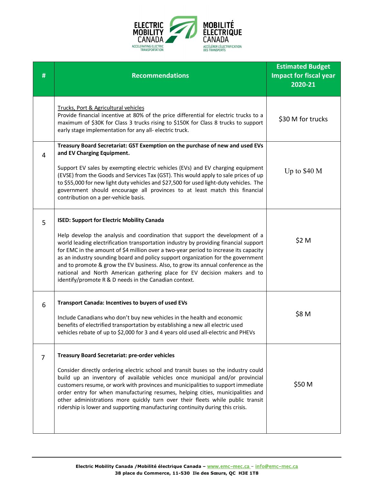

| #              | <b>Recommendations</b>                                                                                                                                                                                                                                                                                                                                                                                                                                                                                                                                                                                                           | <b>Estimated Budget</b><br><b>Impact for fiscal year</b><br>2020-21 |
|----------------|----------------------------------------------------------------------------------------------------------------------------------------------------------------------------------------------------------------------------------------------------------------------------------------------------------------------------------------------------------------------------------------------------------------------------------------------------------------------------------------------------------------------------------------------------------------------------------------------------------------------------------|---------------------------------------------------------------------|
|                | Trucks, Port & Agricultural vehicles<br>Provide financial incentive at 80% of the price differential for electric trucks to a<br>maximum of \$30K for Class 3 trucks rising to \$150K for Class 8 trucks to support<br>early stage implementation for any all-electric truck.                                                                                                                                                                                                                                                                                                                                                    | \$30 M for trucks                                                   |
| 4              | Treasury Board Secretariat: GST Exemption on the purchase of new and used EVs<br>and EV Charging Equipment.<br>Support EV sales by exempting electric vehicles (EVs) and EV charging equipment<br>(EVSE) from the Goods and Services Tax (GST). This would apply to sale prices of up<br>to \$55,000 for new light duty vehicles and \$27,500 for used light-duty vehicles. The<br>government should encourage all provinces to at least match this financial<br>contribution on a per-vehicle basis.                                                                                                                            | Up to $$40 M$                                                       |
| 5              | <b>ISED: Support for Electric Mobility Canada</b><br>Help develop the analysis and coordination that support the development of a<br>world leading electrification transportation industry by providing financial support<br>for EMC in the amount of \$4 million over a two-year period to increase its capacity<br>as an industry sounding board and policy support organization for the government<br>and to promote & grow the EV business. Also, to grow its annual conference as the<br>national and North American gathering place for EV decision makers and to<br>identify/promote R & D needs in the Canadian context. | \$2 M                                                               |
| 6              | <b>Transport Canada: Incentives to buyers of used EVs</b><br>Include Canadians who don't buy new vehicles in the health and economic<br>benefits of electrified transportation by establishing a new all electric used<br>vehicles rebate of up to \$2,000 for 3 and 4 years old used all-electric and PHEVs                                                                                                                                                                                                                                                                                                                     | \$8 M                                                               |
| $\overline{7}$ | <b>Treasury Board Secretariat: pre-order vehicles</b><br>Consider directly ordering electric school and transit buses so the industry could<br>build up an inventory of available vehicles once municipal and/or provincial<br>customers resume, or work with provinces and municipalities to support immediate<br>order entry for when manufacturing resumes, helping cities, municipalities and<br>other administrations more quickly turn over their fleets while public transit<br>ridership is lower and supporting manufacturing continuity during this crisis.                                                            | \$50 M                                                              |